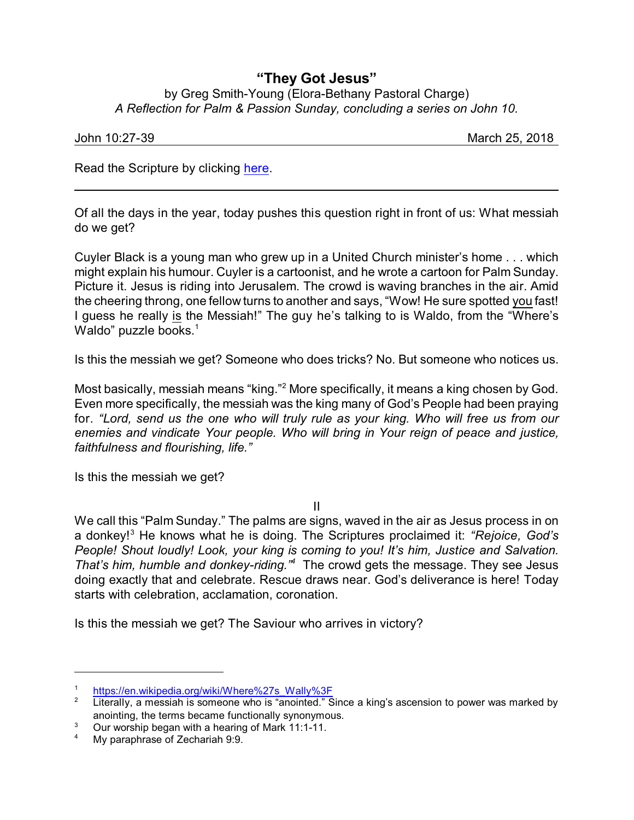## **"They Got Jesus"**

by Greg Smith-Young (Elora-Bethany Pastoral Charge) *A Reflection for Palm & Passion Sunday, concluding a series on John 10.*

| John 10:27-39 | <b>OF OUIR</b><br>March<br>ZU.<br>______ |
|---------------|------------------------------------------|
|               |                                          |

Read the Scripture by clicking [here](https://www.biblegateway.com/passage/?search=John+10%3A22-31&version=NRSVA).

Of all the days in the year, today pushes this question right in front of us: What messiah do we get?

Cuyler Black is a young man who grew up in a United Church minister's home . . . which might explain his humour. Cuyler is a cartoonist, and he wrote a cartoon for Palm Sunday. Picture it. Jesus is riding into Jerusalem. The crowd is waving branches in the air. Amid the cheering throng, one fellow turns to another and says, "Wow! He sure spotted you fast! I guess he really is the Messiah!" The guy he's talking to is Waldo, from the "Where's Waldo" puzzle books.<sup>1</sup>

Is this the messiah we get? Someone who does tricks? No. But someone who notices us.

Most basically, messiah means "king."<sup>2</sup> More specifically, it means a king chosen by God. Even more specifically, the messiah was the king many of God's People had been praying for. *"Lord, send us the one who will truly rule as your king. Who will free us from our enemies and vindicate Your people. Who will bring in Your reign of peace and justice, faithfulness and flourishing, life."*

Is this the messiah we get?

II

We call this "Palm Sunday." The palms are signs, waved in the air as Jesus process in on a donkey!<sup>3</sup> He knows what he is doing. The Scriptures proclaimed it: *"Rejoice, God's People! Shout loudly! Look, your king is coming to you! It's him, Justice and Salvation. That's him, humble and donkey-riding."<sup>4</sup>* The crowd gets the message. They see Jesus doing exactly that and celebrate. Rescue draws near. God's deliverance is here! Today starts with celebration, acclamation, coronation.

Is this the messiah we get? The Saviour who arrives in victory?

<sup>&</sup>lt;sup>1</sup> [https://en.wikipedia.org/wiki/Where%27s\\_Wally%3F](https://en.wikipedia.org/wiki/Where%27s_Wally%3F)<br><sup>2</sup> Literally, a mossiablic someone who is "apointed."

Literally, a messiah is someone who is "anointed." Since a king's ascension to power was marked by anointing, the terms became functionally synonymous.

<sup>&</sup>lt;sup>3</sup> Our worship began with a hearing of Mark 11:1-11.

My paraphrase of Zechariah 9:9.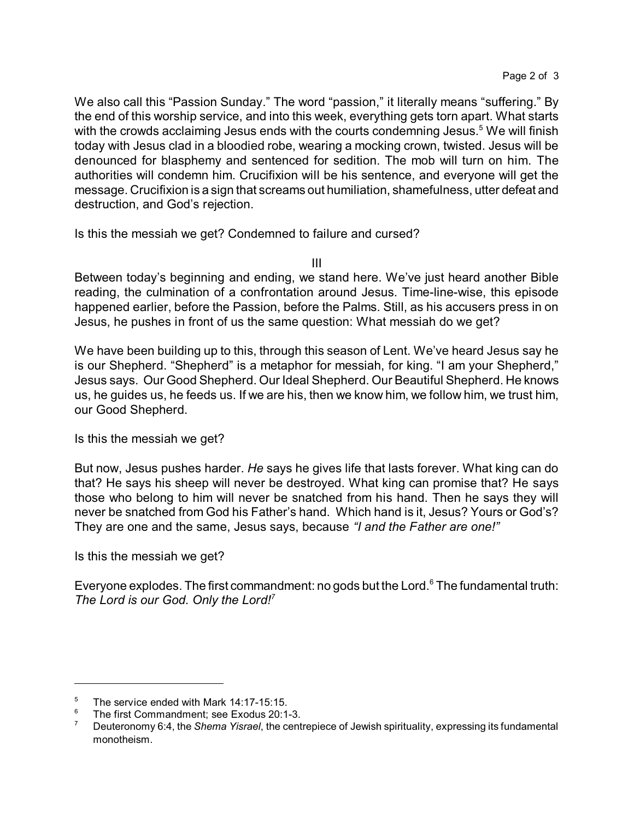We also call this "Passion Sunday." The word "passion," it literally means "suffering." By the end of this worship service, and into this week, everything gets torn apart. What starts with the crowds acclaiming Jesus ends with the courts condemning Jesus.<sup>5</sup> We will finish today with Jesus clad in a bloodied robe, wearing a mocking crown, twisted. Jesus will be denounced for blasphemy and sentenced for sedition. The mob will turn on him. The authorities will condemn him. Crucifixion will be his sentence, and everyone will get the message. Crucifixion is a sign that screams out humiliation, shamefulness, utter defeat and destruction, and God's rejection.

Is this the messiah we get? Condemned to failure and cursed?

III

Between today's beginning and ending, we stand here. We've just heard another Bible reading, the culmination of a confrontation around Jesus. Time-line-wise, this episode happened earlier, before the Passion, before the Palms. Still, as his accusers press in on Jesus, he pushes in front of us the same question: What messiah do we get?

We have been building up to this, through this season of Lent. We've heard Jesus say he is our Shepherd. "Shepherd" is a metaphor for messiah, for king. "I am your Shepherd," Jesus says. Our Good Shepherd. Our Ideal Shepherd. Our Beautiful Shepherd. He knows us, he guides us, he feeds us. If we are his, then we know him, we follow him, we trust him, our Good Shepherd.

Is this the messiah we get?

But now, Jesus pushes harder. *He* says he gives life that lasts forever. What king can do that? He says his sheep will never be destroyed. What king can promise that? He says those who belong to him will never be snatched from his hand. Then he says they will never be snatched from God his Father's hand. Which hand is it, Jesus? Yours or God's? They are one and the same, Jesus says, because *"I and the Father are one!"*

Is this the messiah we get?

Everyone explodes. The first commandment: no gods but the Lord.<sup>6</sup> The fundamental truth: *The Lord is our God. Only the Lord!<sup>7</sup>*

 $5$  The service ended with Mark 14:17-15:15.<br> $6$  The first Commondment: see Evenius 20:1

<sup>6</sup> The first Commandment; see Exodus 20:1-3.

<sup>7</sup> Deuteronomy 6:4, the *Shema Yisrael*, the centrepiece of Jewish spirituality, expressing its fundamental monotheism.